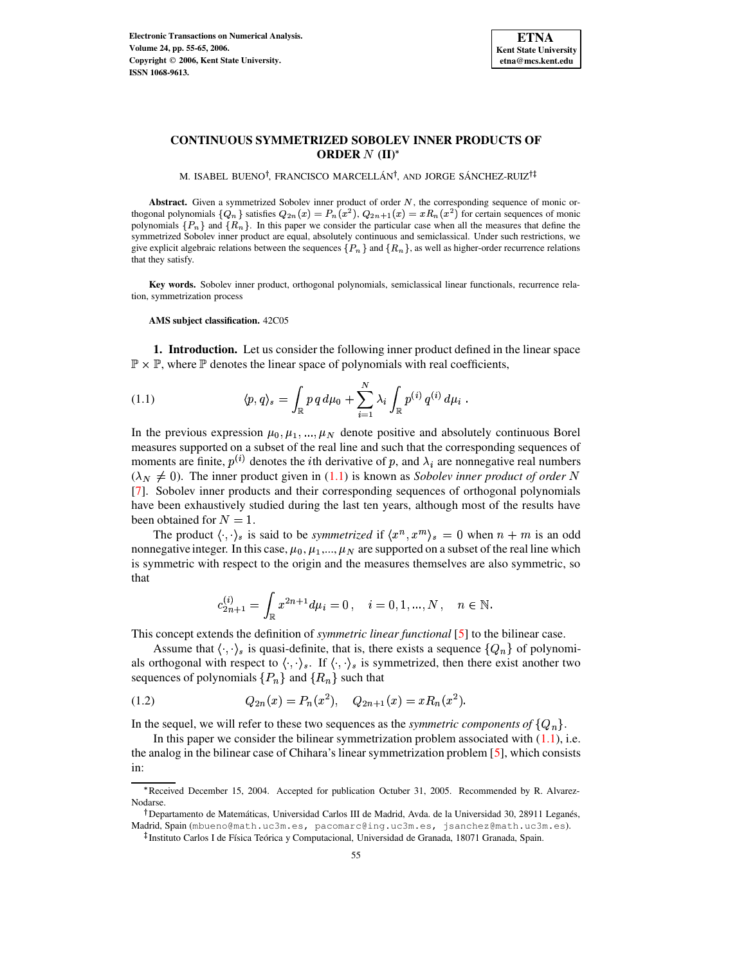

# **CONTINUOUS SYMMETRIZED SOBOLEV INNER PRODUCTS OF ORDER**  $N$  (II)<sup>\*</sup>

M. ISABEL BUENO†, FRANCISCO MARCELLÁN†, AND JORGE SÁNCHEZ-RUIZ†‡

Abstract. Given a symmetrized Sobolev inner product of order N, the corresponding sequence of monic orthogonal polynomials  $\{Q_n\}$  satisfies  $Q_{2n}(x) = P_n(x^2)$ ,  $Q_{2n+1}(x) = x R_n(x^2)$  for certain sequences of monic polynomials  $\{P_n\}$  and  $\{R_n\}$ . In this paper we consider the particular case when all the measures that define the symmetrized Sobolev inner product are equal, absolutely continuous and semiclassical. Under such restrictions, we give explicit algebraic relations between the sequences  $\{P_n\}$  and  $\{R_n\}$ , as well as higher-order recurrence relations that they satisfy.

**Key words.** Sobolev inner product, orthogonal polynomials, semiclassical linear functionals, recurrence relation, symmetrization process

<span id="page-0-0"></span>**AMS subject classification.** 42C05

**1. Introduction.** Let us consider the following inner product defined in the linear space  $\mathbb{P} \times \mathbb{P}$ , where  $\mathbb{P}$  denotes the linear space of polynomials with real coefficients,

(1.1) 
$$
\langle p, q \rangle_s = \int_{\mathbb{R}} p \, q \, d\mu_0 + \sum_{i=1}^N \lambda_i \int_{\mathbb{R}} p^{(i)} \, q^{(i)} \, d\mu_i \, .
$$

In the previous expression  $\mu_0$ ,  $\mu_1$ , ...,  $\mu_N$  denote positive and absolutely continuous Borel measures supported on a subset of the real line and such that the corresponding sequences of moments are finite,  $p^{(i)}$  denotes the *i*th derivative of p, and  $\lambda_i$  are nonnegative real numbers  $(\lambda_N \neq 0)$ . The inner product given in [\(1.1\)](#page-0-0) is known as *Sobolev inner product of order N* [\[7\]](#page-10-0). Sobolev inner products and their corresponding sequences of orthogonal polynomials have been exhaustively studied during the last ten years, although most of the results have been obtained for  $N = 1$ .

The product  $\langle \cdot, \cdot \rangle_s$  is said to be *symmetrized* if  $\langle x^n, x^m \rangle_s = 0$  when  $n + m$  is an odd nonnegative integer. In this case,  $\mu_0$ ,  $\mu_1$ ,...,  $\mu_N$  are supported on a subset of the real line which nonnegative integer. In this case,  $\mu_0$ ,  $\mu_1$ ,...,  $\mu_N$  are supported on a subset of the real line which is symmetric with respect to the origin and the measures themselves are also symmetric, so that

<span id="page-0-1"></span>
$$
c_{2n+1}^{(i)} = \int_{\mathbb{R}} x^{2n+1} d\mu_i = 0, \quad i = 0, 1, ..., N, \quad n \in \mathbb{N}.
$$

This concept extends the definition of *symmetric linear functional* [\[5\]](#page-10-1) to the bilinear case.

Assume that  $\langle \cdot, \cdot \rangle_s$  is quasi-definite, that is, there exists a sequence  $\{Q_n\}$  of polynomials orthogonal with respect to  $\langle \cdot, \cdot \rangle_s$ . If  $\langle \cdot, \cdot \rangle_s$  is symmetrized, then there exist another two sequences of polynomials  $\{P_n\}$  and  $\{R_n\}$  such that

(1.2) 
$$
Q_{2n}(x) = P_n(x^2), \quad Q_{2n+1}(x) = xR_n(x^2).
$$

In the sequel, we will refer to these two sequences as the *symmetric components* of  $\{Q_n\}$ .

In this paper we consider the bilinear symmetrization problem associated with  $(1.1)$ , i.e. the analog in the bilinear case of Chihara's linear symmetrization problem [\[5\]](#page-10-1), which consists in:

<sup>\*</sup>Received December 15, 2004. Accepted for publication Octuber 31, 2005. Recommended by R. Alvarez-Nodarse.

<sup>-</sup> Departamento de Matemáticas, Universidad Carlos III de Madrid, Avda. de la Universidad 30, 28911 Leganés, Madrid, Spain (mbueno@math.uc3m.es, pacomarc@ing.uc3m.es, jsanchez@math.uc3m.es).

Instituto Carlos I de Física Teórica y Computacional, Universidad de Granada, 18071 Granada, Spain.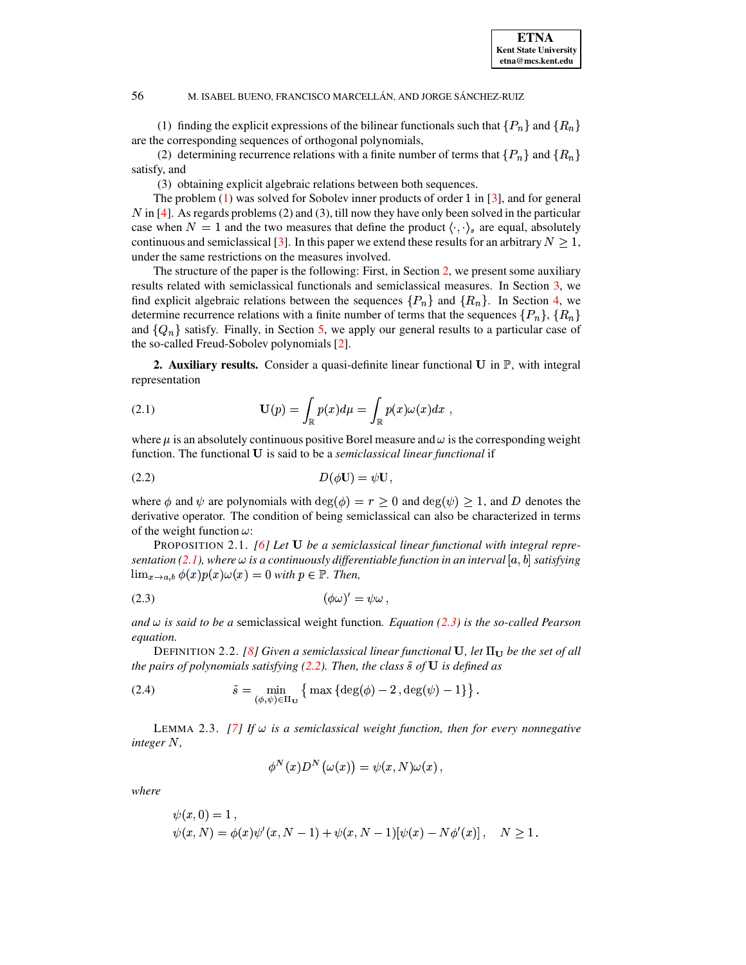(1) finding the explicit expressions of the bilinear functionals such that  $\{P_n\}$  and  $\{R_n\}$ are the corresponding sequences of orthogonal polynomials,

(2) determining recurrence relations with a finite number of terms that  $\{P_n\}$  and  $\{R_n\}$ satisfy, and

(3) obtaining explicit algebraic relations between both sequences.

The problem  $(1)$  was solved for Sobolev inner products of order 1 in [\[3\]](#page-10-2), and for general  $N$  in [\[4\]](#page-10-3). As regards problems (2) and (3), till now they have only been solved in the particular case when  $N = 1$  and the two measures that define the product  $\langle \cdot, \cdot \rangle_s$  are equal, absolutely continuous and semiclassical [\[3\]](#page-10-2). In this paper we extend these results for an arbitrary  $N \geq 1$ , under the same restrictions on the measures involved.

The structure of the paper is the following: First, in Section [2,](#page-1-0) we present some auxiliary results related with semiclassical functionals and semiclassical measures. In Section [3,](#page-2-0) we find explicit algebraic relations between the sequences  $\{P_n\}$  and  $\{R_n\}$ . In Section [4,](#page-6-0) we determine recurrence relations with a finite number of terms that the sequences  $\{P_n\}$ ,  $\{R_n\}$ and  $\{Q_n\}$  satisfy. Finally, in Section [5,](#page-10-4) we apply our general results to a particular case of the so-called Freud-Sobolev polynomials [\[2\]](#page-10-5).

<span id="page-1-1"></span><span id="page-1-0"></span>**2. Auxiliary results.** Consider a quasi-definite linear functional U in P, with integral representation

(2.1) 
$$
\mathbf{U}(p) = \int_{\mathbb{R}} p(x) d\mu = \int_{\mathbb{R}} p(x) \omega(x) dx ,
$$

<span id="page-1-3"></span>where  $\mu$  is an absolutely continuous positive Borel measure and  $\omega$  is the corresponding weight function. The functional U is said to be a *semiclassical linear functional* if

$$
D(\phi \mathbf{U}) = \psi \mathbf{U},
$$

where  $\phi$  and  $\psi$  are polynomials with  $\deg(\phi) = r \geq 0$  and  $\deg(\psi) \geq 1$ , and D denotes the derivative operator. The condition of being semiclassical can also be characterized in terms of the weight function  $\omega$ :

PROPOSITION 2.1. *[\[6\]](#page-10-6)* Let **U** be a semiclassical linear functional with integral repre*sentation* [\(2.1\)](#page-1-1), where  $\omega$  *is a continuously differentiable function in an interval* [a, *b*] *satisfying*  $\lim_{x\to a,b}\phi(x)p(x)\omega(x) = 0$  with  $p \in \mathbb{P}$ . Then,

<span id="page-1-2"></span>
$$
(\phi\omega)' = \psi\omega,
$$

 $and \omega$  *is said to be a* semiclassical weight function. *Equation* [\(2.3\)](#page-1-2) *is the so-called Pearson equation.*

DEFINITION 2.2. *[\[8\]](#page-10-7) Given a semiclassical linear functional* **U**, let  $\Pi_{\mathbf{U}}$  *be the set of all the pairs of polynomials satisfying [\(2.2\)](#page-1-3). Then, the class*  $\tilde{s}$  *of*  $U$  *is defined as* 

(2.4) 
$$
\tilde{s} = \min_{(\phi,\psi)\in\Pi_{\mathbf{U}}} \left\{ \max \left\{ \deg(\phi) - 2, \deg(\psi) - 1 \right\} \right\}.
$$

LEMMA 2.3.  $[7]$  If  $\omega$  is a semiclassical weight function, then for every nonnegative *integer ,*

<span id="page-1-4"></span>
$$
\phi^N(x)D^N\big(\omega(x)\big)=\psi(x,N)\omega(x)\,,
$$

*where*

$$
\psi(x,0) = 1,\n\psi(x,N) = \phi(x)\psi'(x,N-1) + \psi(x,N-1)[\psi(x) - N\phi'(x)], \quad N \ge 1.
$$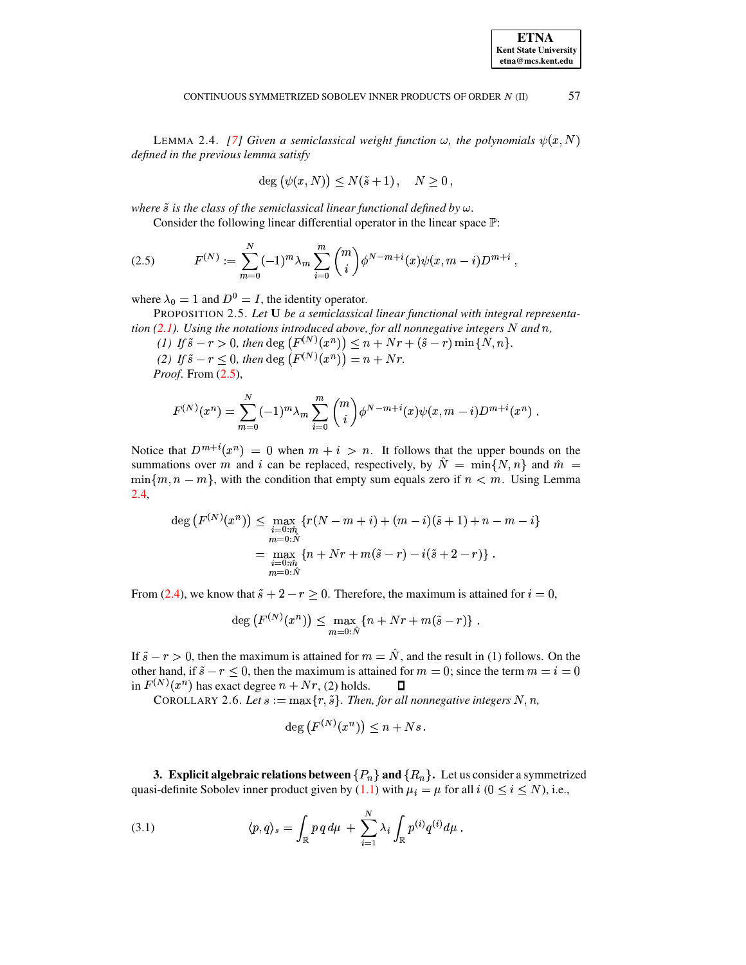#### 57 CONTINUOUS SYMMETRIZED SOBOLEV INNER PRODUCTS OF ORDER N (II)

<span id="page-2-2"></span>LEMMA 2.4. [7] Given a semiclassical weight function  $\omega$ , the polynomials  $\psi(x, N)$ defined in the previous lemma satisfy

<span id="page-2-5"></span><span id="page-2-1"></span>
$$
deg(\psi(x,N)) \le N(\tilde{s}+1), \quad N \ge 0,
$$

where  $\tilde{s}$  is the class of the semiclassical linear functional defined by  $\omega$ .

Consider the following linear differential operator in the linear space  $\mathbb{P}$ :

$$
(2.5) \tF^{(N)} := \sum_{m=0}^{N} (-1)^m \lambda_m \sum_{i=0}^{m} \binom{m}{i} \phi^{N-m+i}(x) \psi(x, m-i) D^{m+i}
$$

where  $\lambda_0 = 1$  and  $D^0 = I$ , the identity operator.

PROPOSITION 2.5. Let U be a semiclassical linear functional with integral representation  $(2.1)$ . Using the notations introduced above, for all nonnegative integers N and n,

(1) If  $\tilde{s} - r > 0$ , then deg  $(F^{(N)}(x^n)) \leq n + Nr + (\tilde{s} - r) \min\{N, n\}.$ (2) If  $\tilde{s} - r < 0$ , then deg  $(F^{(N)}(x^n)) = n + Nr$ .

*Proof.* From  $(2.5)$ ,

$$
F^{(N)}(x^n) = \sum_{m=0}^{N} (-1)^m \lambda_m \sum_{i=0}^{m} \binom{m}{i} \phi^{N-m+i}(x) \psi(x, m-i) D^{m+i}(x^n) .
$$

Notice that  $D^{m+i}(x^n) = 0$  when  $m + i > n$ . It follows that the upper bounds on the summations over m and i can be replaced, respectively, by  $\hat{N} = \min\{N, n\}$  and  $\hat{m} =$  $\min\{m, n-m\}$ , with the condition that empty sum equals zero if  $n < m$ . Using Lemma  $2.4,$ 

$$
\deg(F^{(N)}(x^n)) \le \max_{\substack{i=0:\hat{m} \\ m=0:\hat{N} \\ m=0:\hat{N}}} \{r(N-m+i) + (m-i)(\tilde{s}+1) + n - m - i\}
$$

$$
= \max_{\substack{i=0:\hat{m} \\ m=0:\hat{N}}} \{n + Nr + m(\tilde{s} - r) - i(\tilde{s} + 2 - r)\}.
$$

From (2.4), we know that  $\tilde{s} + 2 - r \ge 0$ . Therefore, the maximum is attained for  $i = 0$ ,

$$
deg (F^{(N)}(x^n)) \leq \max_{m=0:\hat{N}} \{n + Nr + m(\tilde{s} - r)\} .
$$

<span id="page-2-4"></span>If  $\tilde{s} - r > 0$ , then the maximum is attained for  $m = \hat{N}$ , and the result in (1) follows. On the other hand, if  $\tilde{s} - r < 0$ , then the maximum is attained for  $m = 0$ ; since the term  $m = i = 0$ in  $F^{(N)}(x^n)$  has exact degree  $n + Nr$ , (2) holds. O

COROLLARY 2.6. Let  $s := \max\{r, \tilde{s}\}\$ . Then, for all nonnegative integers  $N, n$ ,

<span id="page-2-3"></span>
$$
\deg (F^{(N)}(x^n)) \leq n + Ns
$$

<span id="page-2-0"></span>**3.** Explicit algebraic relations between  $\{P_n\}$  and  $\{R_n\}$ . Let us consider a symmetrized quasi-definite Sobolev inner product given by (1.1) with  $\mu_i = \mu$  for all  $i$  ( $0 \le i \le N$ ), i.e.,

(3.1) 
$$
\langle p, q \rangle_s = \int_{\mathbb{R}} p \, q \, d\mu + \sum_{i=1}^N \lambda_i \int_{\mathbb{R}} p^{(i)} q^{(i)} d\mu.
$$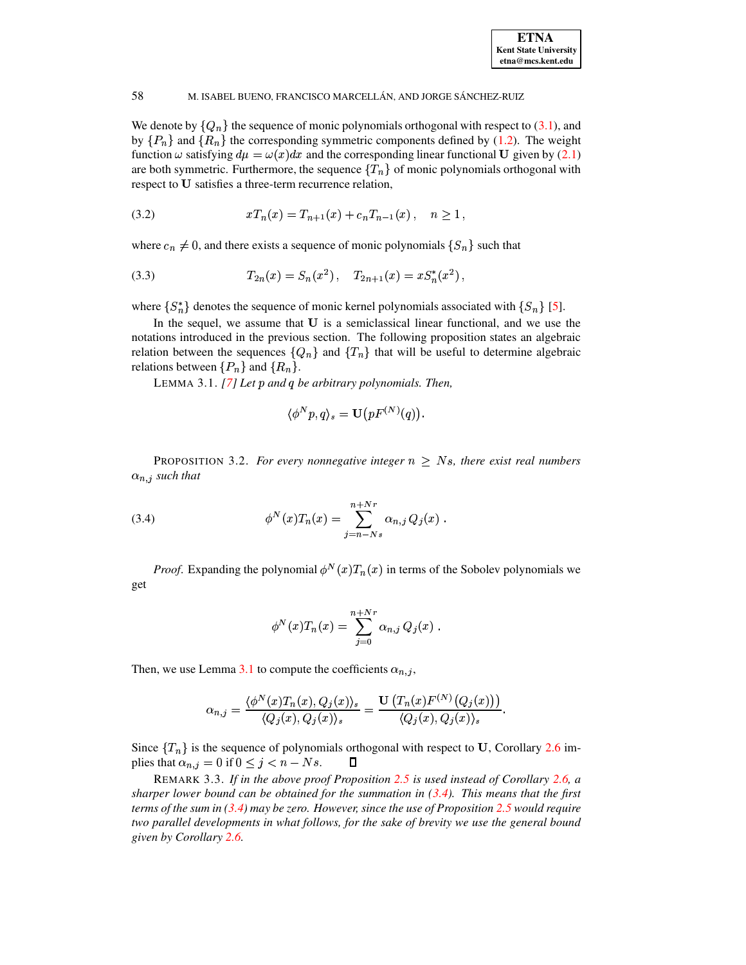We denote by  $\{Q_n\}$  the sequence of monic polynomials orthogonal with respect to (3.1), and by  $\{P_n\}$  and  $\{R_n\}$  the corresponding symmetric components defined by (1.2). The weight function  $\omega$  satisfying  $d\mu = \omega(x)dx$  and the corresponding linear functional U given by (2.1) are both symmetric. Furthermore, the sequence  $\{T_n\}$  of monic polynomials orthogonal with respect to U satisfies a three-term recurrence relation,

<span id="page-3-4"></span>
$$
(3.2) \t\t xT_n(x) = T_{n+1}(x) + c_n T_{n-1}(x), \quad n \ge 1
$$

where  $c_n \neq 0$ , and there exists a sequence of monic polynomials  $\{S_n\}$  such that

(3.3) 
$$
T_{2n}(x) = S_n(x^2), \quad T_{2n+1}(x) = xS_n^*(x^2),
$$

where  $\{S_n^*\}$  denotes the sequence of monic kernel polynomials associated with  $\{S_n\}$  [5].

<span id="page-3-0"></span>In the sequel, we assume that U is a semiclassical linear functional, and we use the notations introduced in the previous section. The following proposition states an algebraic relation between the sequences  $\{Q_n\}$  and  $\{T_n\}$  that will be useful to determine algebraic relations between  $\{P_n\}$  and  $\{R_n\}$ .

LEMMA 3.1. [7] Let p and q be arbitrary polynomials. Then,

<span id="page-3-3"></span>
$$
\langle \phi^N p, q \rangle_s = \mathbf{U}\big( p F^{(N)}(q) \big).
$$

<span id="page-3-2"></span><span id="page-3-1"></span>PROPOSITION 3.2. For every nonnegative integer  $n \geq N_s$ , there exist real numbers  $\alpha_{n,j}$  such that

(3.4) 
$$
\phi^N(x)T_n(x) = \sum_{j=n-Ns}^{n+Nr} \alpha_{n,j} Q_j(x) .
$$

*Proof.* Expanding the polynomial  $\phi^N(x)T_n(x)$  in terms of the Sobolev polynomials we get

$$
\phi^N(x)T_n(x) = \sum_{j=0}^{n+Nr} \alpha_{n,j} Q_j(x) .
$$

Then, we use Lemma 3.1 to compute the coefficients  $\alpha_{n,i}$ ,

$$
\alpha_{n,j} = \frac{\langle \phi^N(x) T_n(x), Q_j(x) \rangle_s}{\langle Q_j(x), Q_j(x) \rangle_s} = \frac{\mathbf{U}\left( T_n(x) F^{(N)}(Q_j(x)) \right)}{\langle Q_j(x), Q_j(x) \rangle_s}.
$$

Since  $\{T_n\}$  is the sequence of polynomials orthogonal with respect to U, Corollary 2.6 implies that  $\alpha_{n,j} = 0$  if  $0 \le j \le n - Ns$ .  $\Box$ 

REMARK 3.3. If in the above proof Proposition 2.5 is used instead of Corollary 2.6, a sharper lower bound can be obtained for the summation in  $(3.4)$ . This means that the first terms of the sum in  $(3.4)$  may be zero. However, since the use of Proposition 2.5 would require two parallel developments in what follows, for the sake of brevity we use the general bound given by Corollary 2.6.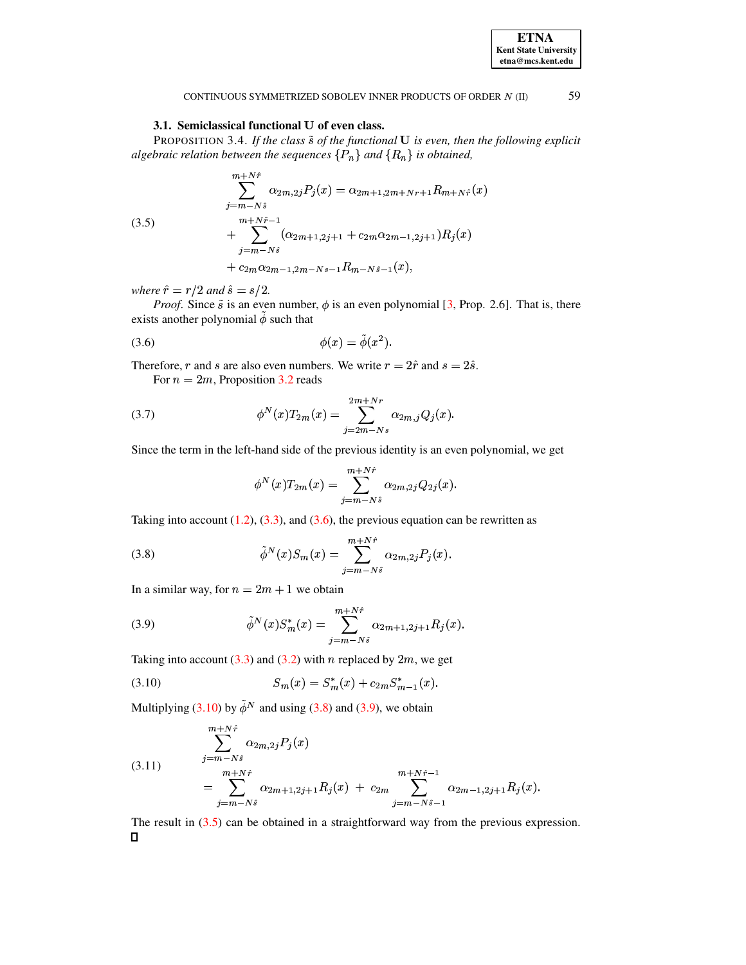<span id="page-4-4"></span>

59

#### CONTINUOUS SYMMETRIZED SOBOLEV INNER PRODUCTS OF ORDER N (II)

## 3.1. Semiclassical functional U of even class.

<span id="page-4-7"></span>PROPOSITION 3.4. If the class  $\tilde{s}$  of the functional  $U$  is even, then the following explicit algebraic relation between the sequences  $\{P_n\}$  and  $\{R_n\}$  is obtained,

(3.5)  
\n
$$
\sum_{j=m-N\hat{s}}^{m+N\hat{r}} \alpha_{2m,2j} P_j(x) = \alpha_{2m+1,2m+Nr+1} R_{m+N\hat{r}}(x)
$$
\n
$$
+ \sum_{j=m-N\hat{s}}^{m+N\hat{r}-1} (\alpha_{2m+1,2j+1} + c_{2m}\alpha_{2m-1,2j+1}) R_j(x)
$$
\n
$$
+ c_{2m}\alpha_{2m-1,2m-Ns-1} R_{m-N\hat{s}-1}(x),
$$

where  $\hat{r} = r/2$  and  $\hat{s} = s/2$ .

<span id="page-4-0"></span>*Proof.* Since  $\tilde{s}$  is an even number,  $\phi$  is an even polynomial [3, Prop. 2.6]. That is, there exists another polynomial  $\ddot{\phi}$  such that

$$
\phi(x) = \tilde{\phi}(x^2).
$$

Therefore, r and s are also even numbers. We write  $r = 2\hat{r}$  and  $s = 2\hat{s}$ . For  $n = 2m$ , Proposition 3.2 reads

 $\phi^N(x)T_{2m}(x) = \sum_{j=2m-Ns}^{2m+Nr} \alpha_{2m,j} Q_j(x).$  $(3.7)$ 

Since the term in the left-hand side of the previous identity is an even polynomial, we get

<span id="page-4-5"></span><span id="page-4-3"></span><span id="page-4-2"></span><span id="page-4-1"></span>
$$
\phi^N(x)T_{2m}(x) = \sum_{j=m-N\hat{s}}^{m+N\hat{r}} \alpha_{2m,2j} Q_{2j}(x).
$$

Taking into account  $(1.2)$ ,  $(3.3)$ , and  $(3.6)$ , the previous equation can be rewritten as

(3.8) 
$$
\tilde{\phi}^{N}(x)S_{m}(x) = \sum_{j=m-N\hat{s}}^{m+N\hat{r}} \alpha_{2m,2j} P_{j}(x).
$$

In a similar way, for  $n = 2m + 1$  we obtain

(3.9) 
$$
\tilde{\phi}^N(x) S_m^*(x) = \sum_{j=m-N\hat{s}}^{m+N\hat{r}} \alpha_{2m+1,2j+1} R_j(x).
$$

Taking into account (3.3) and (3.2) with n replaced by  $2m$ , we get

<span id="page-4-6"></span>(3.10) 
$$
S_m(x) = S_m^*(x) + c_{2m} S_{m-1}^*(x).
$$

Multiplying (3.10) by  $\tilde{\phi}^N$  and using (3.8) and (3.9), we obtain

(3.11) 
$$
\sum_{j=m-N\hat{s}}^{m+N\hat{r}} \alpha_{2m,2j} P_j(x)
$$

$$
= \sum_{j=m-N\hat{s}}^{m+N\hat{r}} \alpha_{2m+1,2j+1} R_j(x) + c_{2m} \sum_{j=m-N\hat{s}-1}^{m+N\hat{r}-1} \alpha_{2m-1,2j+1} R_j(x).
$$

The result in  $(3.5)$  can be obtained in a straightforward way from the previous expression.  $\Box$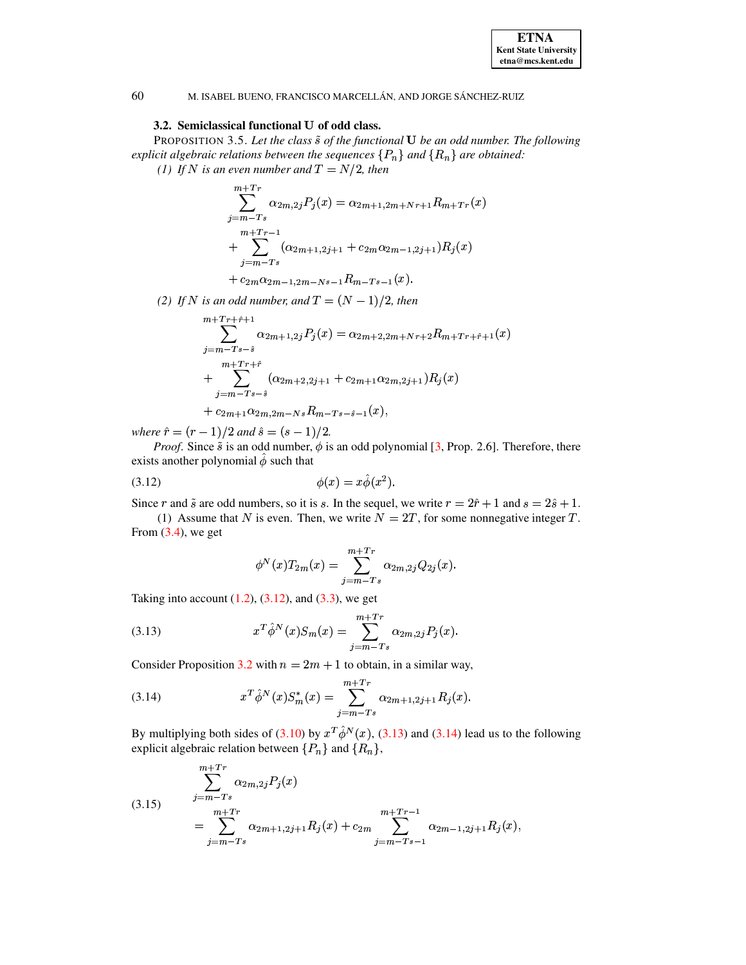

## 3.2. Semiclassical functional U of odd class.

60

PROPOSITION 3.5. Let the class  $\tilde{s}$  of the functional  $U$  be an odd number. The following explicit algebraic relations between the sequences  $\{P_n\}$  and  $\{R_n\}$  are obtained:

(1) If N is an even number and  $T = N/2$ , then

$$
\sum_{j=m-Ts}^{m+Tr} \alpha_{2m,2j} P_j(x) = \alpha_{2m+1,2m+Nr+1} R_{m+Tr}(x)
$$
  
+ 
$$
\sum_{j=m-Ts}^{m+Tr-1} (\alpha_{2m+1,2j+1} + c_{2m} \alpha_{2m-1,2j+1}) R_j(x)
$$

$$
+ c_{2m} \alpha_{2m-1,2m-Ns-1} R_{m-Ts-1}(x)
$$

(2) If N is an odd number, and  $T = (N-1)/2$ , then

$$
m + Tr + \hat{r} + 1
$$
  
\n
$$
\sum_{j=m-Ts-\hat{s}}^{m+Tr+\hat{r}+1} \alpha_{2m+1,2j} P_j(x) = \alpha_{2m+2,2m+Nr+2} R_{m+Tr+\hat{r}+1}(x)
$$
  
\n+ 
$$
\sum_{j=m-Ts-\hat{s}}^{m+Tr+\hat{r}} (\alpha_{2m+2,2j+1} + c_{2m+1} \alpha_{2m,2j+1}) R_j(x)
$$
  
\n+ 
$$
c_{2m+1} \alpha_{2m,2m-Ns} R_{m-Ts-\hat{s}-1}(x),
$$

where  $\hat{r} = (r - 1)/2$  and  $\hat{s} = (s - 1)/2$ .

*Proof.* Since  $\tilde{s}$  is an odd number,  $\phi$  is an odd polynomial [3, Prop. 2.6]. Therefore, there exists another polynomial  $\hat{\phi}$  such that

$$
\phi(x) = x\hat{\phi}(x^2).
$$

Since r and  $\tilde{s}$  are odd numbers, so it is s. In the sequel, we write  $r = 2\hat{r} + 1$  and  $s = 2\hat{s} + 1$ .

(1) Assume that N is even. Then, we write  $N = 2T$ , for some nonnegative integer T. From  $(3.4)$ , we get

<span id="page-5-2"></span><span id="page-5-1"></span><span id="page-5-0"></span>
$$
\phi^N(x) T_{2m}(x) = \sum_{j=m-Ts}^{m+Tr} \alpha_{2m,2j} Q_{2j}(x).
$$

Taking into account  $(1.2)$ ,  $(3.12)$ , and  $(3.3)$ , we get

(3.13) 
$$
x^T \hat{\phi}^N(x) S_m(x) = \sum_{j=m-T_s}^{m+Tr} \alpha_{2m,2j} P_j(x).
$$

Consider Proposition 3.2 with  $n = 2m + 1$  to obtain, in a similar way,

(3.14) 
$$
x^T \hat{\phi}^N(x) S_m^*(x) = \sum_{j=m-Ts}^{m+Tr} \alpha_{2m+1,2j+1} R_j(x).
$$

<span id="page-5-3"></span>By multiplying both sides of (3.10) by  $x^T \hat{\phi}^N(x)$ , (3.13) and (3.14) lead us to the following explicit algebraic relation between  $\{P_n\}$  and  $\{R_n\}$ ,

(3.15) 
$$
\sum_{j=m-T_s}^{m+Tr} \alpha_{2m,2j} P_j(x)
$$

$$
= \sum_{j=m-Ts}^{m+Tr} \alpha_{2m+1,2j+1} R_j(x) + c_{2m} \sum_{j=m-Ts-1}^{m+Tr-1} \alpha_{2m-1,2j+1} R_j(x)
$$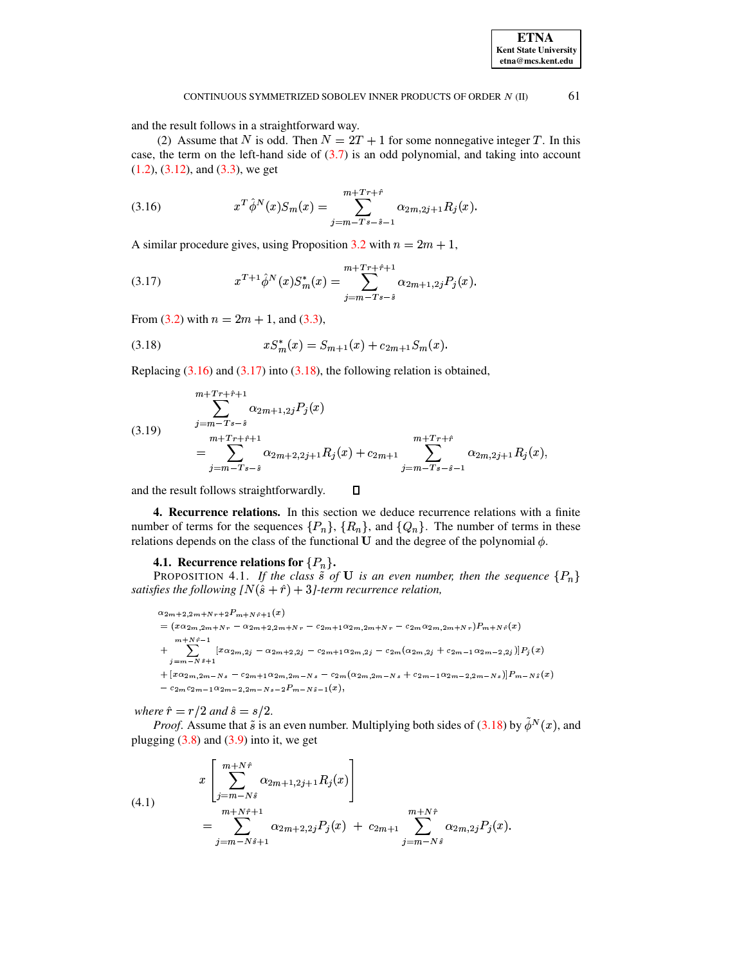## <span id="page-6-2"></span>**ETNA Kent State University**  $etna@mcs. kent.edu$

### CONTINUOUS SYMMETRIZED SOBOLEV INNER PRODUCTS OF ORDER N (II)

and the result follows in a straightforward way.

<span id="page-6-1"></span>(2) Assume that N is odd. Then  $N = 2T + 1$  for some nonnegative integer T. In this case, the term on the left-hand side of  $(3.7)$  is an odd polynomial, and taking into account  $(1.2)$ ,  $(3.12)$ , and  $(3.3)$ , we get

(3.16) 
$$
x^T \hat{\phi}^N(x) S_m(x) = \sum_{j=m-Ts-\hat{s}-1}^{m+T r+\hat{r}} \alpha_{2m,2j+1} R_j(x).
$$

A similar procedure gives, using Proposition 3.2 with  $n = 2m + 1$ ,

(3.17) 
$$
x^{T+1} \hat{\phi}^N(x) S_m^*(x) = \sum_{j=m-Ts-\hat{s}}^{m+T r + \hat{r}+1} \alpha_{2m+1,2j} P_j(x).
$$

<span id="page-6-3"></span>From (3.2) with  $n = 2m + 1$ , and (3.3),

(3.18) 
$$
xS_m^*(x) = S_{m+1}(x) + c_{2m+1}S_m(x).
$$

<span id="page-6-5"></span>Replacing  $(3.16)$  and  $(3.17)$  into  $(3.18)$ , the following relation is obtained,

(3.19) 
$$
\sum_{j=m-Ts-\hat{s}}^{m+Tr+\hat{r}+1} \alpha_{2m+1,2j} P_j(x)
$$

$$
= \sum_{j=m-Ts-\hat{s}}^{m+Tr+\hat{r}+1} \alpha_{2m+2,2j+1} R_j(x) + c_{2m+1} \sum_{j=m-Ts-\hat{s}-1}^{m+Tr+\hat{r}} \alpha_{2m,2j+1} R_j(x),
$$

<span id="page-6-0"></span>and the result follows straightforwardly.  $\Box$ 

4. Recurrence relations. In this section we deduce recurrence relations with a finite number of terms for the sequences  $\{P_n\}$ ,  $\{R_n\}$ , and  $\{Q_n\}$ . The number of terms in these relations depends on the class of the functional  $U$  and the degree of the polynomial  $\phi$ .

## 4.1. Recurrence relations for  $\{P_n\}$ .

<span id="page-6-6"></span>**PROPOSITION 4.1.** If the class  $\tilde{s}$  of **U** is an even number, then the sequence  $\{P_n\}$ satisfies the following  $[N(\hat{s} + \hat{r}) + 3]$ -term recurrence relation,

 $\alpha_{2m+2,2m+Nr+2}P_{m+Nr+1}(x)$  $= (x \alpha_{2m,2m+Nr} - \alpha_{2m+2,2m+Nr} - c_{2m+1} \alpha_{2m,2m+Nr} - c_{2m} \alpha_{2m,2m+Nr}) P_{m+N\hat{r}}(x)$  $+\sum_{j=m-N\hat{s}+1}^{m+N\hat{r}-1}[x\alpha_{2m,2j}-\alpha_{2m+2,2j}-c_{2m+1}\alpha_{2m,2j}-c_{2m}(\alpha_{2m,2j}+c_{2m-1}\alpha_{2m-2,2j})]P_j(x)$  $+[x\alpha_{2m},\alpha_{2m-Ns}-c_{2m+1}\alpha_{2m},\alpha_{2m-Ns}-c_{2m}(\alpha_{2m},\alpha_{2m-Ns}+c_{2m-1}\alpha_{2m-2},\alpha_{m-Ns})]P_{m-N\,\hat{s}}(x)$  $- c_{2m} c_{2m-1} \alpha_{2m-2,2m-Ns-2} P_{m-N\hat{s}-1}(x),$ 

where  $\hat{r} = r/2$  and  $\hat{s} = s/2$ .

<span id="page-6-4"></span>*Proof.* Assume that  $\tilde{s}$  is an even number. Multiplying both sides of (3.18) by  $\tilde{\phi}^N(x)$ , and plugging  $(3.8)$  and  $(3.9)$  into it, we get

(4.1) 
$$
x \left[ \sum_{j=m-N\hat{s}}^{m+N\hat{r}} \alpha_{2m+1,2j+1} R_j(x) \right] = \sum_{j=m-N\hat{s}+1}^{m+N\hat{r}+1} \alpha_{2m+2,2j} P_j(x) + c_{2m+1} \sum_{j=m-N\hat{s}}^{m+N\hat{r}} \alpha_{2m,2j} P_j(x).
$$

61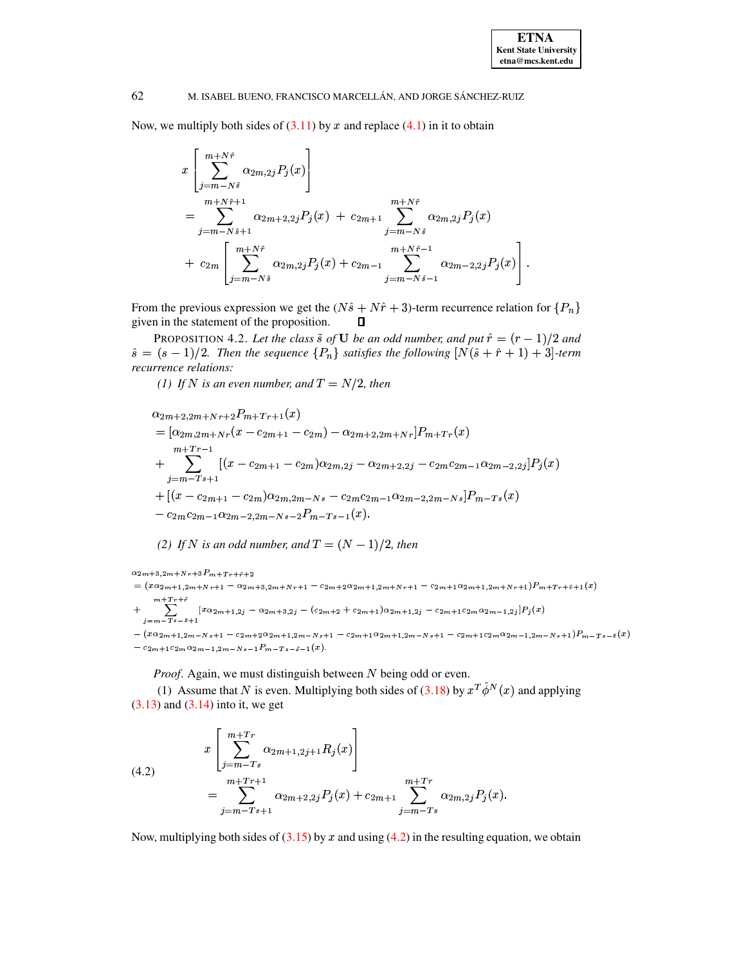Now, we multiply both sides of  $(3.11)$  by x and replace  $(4.1)$  in it to obtain

$$
x\left[\sum_{j=m-N\hat{s}}^{m+N\hat{r}} \alpha_{2m,2j} P_j(x)\right]
$$
  
= 
$$
\sum_{j=m-N\hat{s}+1}^{m+N\hat{r}+1} \alpha_{2m+2,2j} P_j(x) + c_{2m+1} \sum_{j=m-N\hat{s}}^{m+N\hat{r}} \alpha_{2m,2j} P_j(x)
$$
  
+ 
$$
c_{2m}\left[\sum_{j=m-N\hat{s}}^{m+N\hat{r}} \alpha_{2m,2j} P_j(x) + c_{2m-1} \sum_{j=m-N\hat{s}-1}^{m+N\hat{r}-1} \alpha_{2m-2,2j} P_j(x)\right]
$$

From the previous expression we get the  $(N\hat{s} + N\hat{r} + 3)$ -term recurrence relation for  $\{P_n\}$ given in the statement of the proposition.  $\Box$ 

PROPOSITION 4.2. Let the class  $\tilde{s}$  of **U** be an odd number, and put  $\hat{r} = (r - 1)/2$  and  $\hat{s} = (s-1)/2$ . Then the sequence  $\{P_n\}$  satisfies the following  $[N(\hat{s} + \hat{r} + 1) + 3]$ -term recurrence relations:

(1) If N is an even number, and  $T = N/2$ , then

$$
\alpha_{2m+2,2m+Nr+2}P_{m+Tr+1}(x)
$$
\n
$$
= [\alpha_{2m,2m+Nr}(x - c_{2m+1} - c_{2m}) - \alpha_{2m+2,2m+Nr}]P_{m+Tr}(x)
$$
\n
$$
+ \sum_{j=m-Ts+1}^{m+Tr-1} [(x - c_{2m+1} - c_{2m})\alpha_{2m,2j} - \alpha_{2m+2,2j} - c_{2m}c_{2m-1}\alpha_{2m-2,2j}]P_j(x)
$$
\n
$$
+ [(x - c_{2m+1} - c_{2m})\alpha_{2m,2m-Ns} - c_{2m}c_{2m-1}\alpha_{2m-2,2m-Ns}]P_{m-Ts}(x)
$$
\n
$$
- c_{2m}c_{2m-1}\alpha_{2m-2,2m-Ns-2}P_{m-Ts-1}(x).
$$

(2) If N is an odd number, and  $T = (N - 1)/2$ , then

$$
\alpha_{2m+3,2m+Nr+3}P_{m+Tr+\hat{r}+2}
$$
\n=  $(x\alpha_{2m+1,2m+Nr+1} - \alpha_{2m+3,2m+Nr+1} - c_{2m+2}\alpha_{2m+1,2m+Nr+1} - c_{2m+1}\alpha_{2m+1,2m+Nr+1})P_{m+Tr+\hat{r}+1}(x)$   
\n+  $\sum_{j=m-Ts-3+1}^{m+Tr+\hat{r}} [x\alpha_{2m+1,2j} - \alpha_{2m+3,2j} - (c_{2m+2} + c_{2m+1})\alpha_{2m+1,2j} - c_{2m+1}c_{2m}\alpha_{2m-1,2j}]P_j(x)$   
\n-  $(x\alpha_{2m+1,2m-Ns+1} - c_{2m+2}\alpha_{2m+1,2m-Ns+1} - c_{2m+1}\alpha_{2m+1,2m-Ns+1} - c_{2m+1}c_{2m}\alpha_{2m-1,2m-Ns+1})P_{m-Ts-\hat{s}}(x)$   
\n-  $c_{2m+1}c_{2m}\alpha_{2m-1,2m-Ns-1}P_{m-Ts-\hat{s}-1}(x).$ 

<span id="page-7-0"></span>*Proof.* Again, we must distinguish between  $N$  being odd or even.

(1) Assume that N is even. Multiplying both sides of (3.18) by  $x^T \hat{\phi}^N(x)$  and applying  $(3.13)$  and  $(3.14)$  into it, we get

(4.2) 
$$
x \left[ \sum_{j=m-Ts}^{m+Tr} \alpha_{2m+1,2j+1} R_j(x) \right]
$$

$$
= \sum_{j=m-Ts+1}^{m+Tr+1} \alpha_{2m+2,2j} P_j(x) + c_{2m+1} \sum_{j=m-Ts}^{m+Tr} \alpha_{2m,2j} P_j(x).
$$

Now, multiplying both sides of  $(3.15)$  by x and using  $(4.2)$  in the resulting equation, we obtain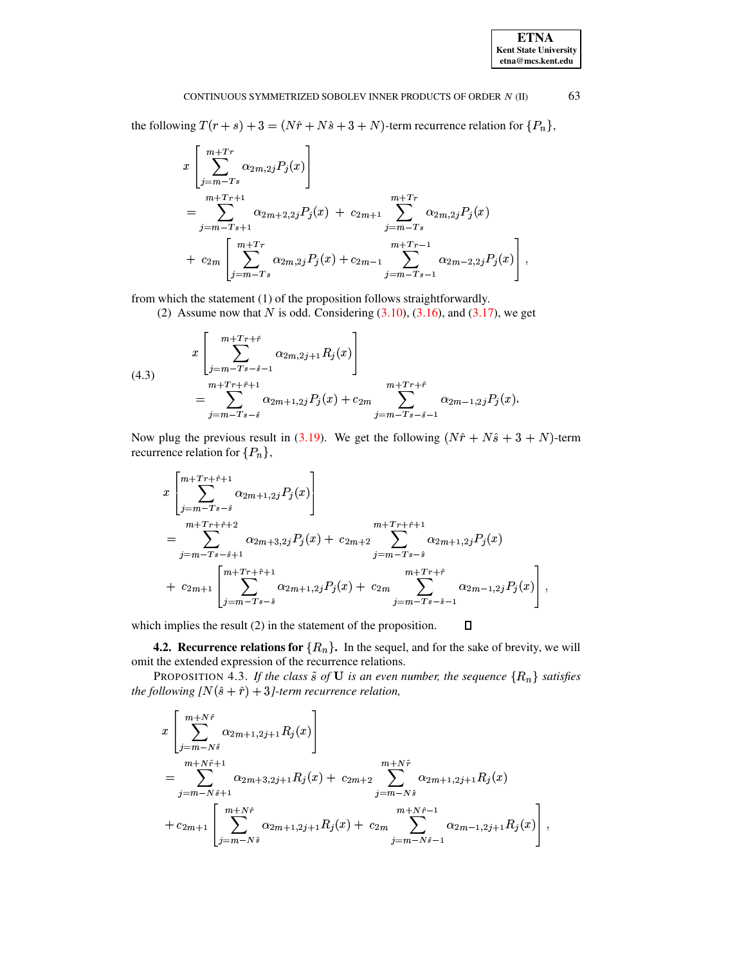## **ETNA Kent State University**  $etna@mcs. kent.edu$

## CONTINUOUS SYMMETRIZED SOBOLEV INNER PRODUCTS OF ORDER  $N$  (II)

the following  $T(r + s) + 3 = (N\hat{r} + N\hat{s} + 3 + N)$ -term recurrence relation for  $\{P_n\}$ ,

$$
x\left[\sum_{j=m-Ts}^{m+Tr} \alpha_{2m,2j} P_j(x)\right]
$$
  
= 
$$
\sum_{j=m-Ts+1}^{m+Tr+1} \alpha_{2m+2,2j} P_j(x) + c_{2m+1} \sum_{j=m-Ts}^{m+Tr} \alpha_{2m,2j} P_j(x)
$$
  
+ 
$$
c_{2m}\left[\sum_{j=m-Ts}^{m+Tr} \alpha_{2m,2j} P_j(x) + c_{2m-1} \sum_{j=m-Ts-1}^{m+Tr-1} \alpha_{2m-2,2j} P_j(x)\right].
$$

from which the statement (1) of the proposition follows straightforwardly.

(2) Assume now that  $N$  is odd. Considering  $(3.10)$ ,  $(3.16)$ , and  $(3.17)$ , we get

(4.3)  

$$
x\begin{bmatrix} m+Tr+\hat{r} \\ \sum_{j=m-Ts-\hat{s}-1}^{m+Tr+\hat{r}} \alpha_{2m,2j+1} R_j(x) \end{bmatrix}
$$

$$
= \sum_{j=m-Ts-\hat{s}}^{m+Tr+\hat{r}+1} \alpha_{2m+1,2j} P_j(x) + c_{2m} \sum_{j=m-Ts-\hat{s}-1}^{m+Tr+\hat{r}} \alpha_{2m-1,2j} P_j(x).
$$

Now plug the previous result in (3.19). We get the following  $(N\hat{r} + N\hat{s} + 3 + N)$ -term recurrence relation for  $\{P_n\},\$ 

$$
x\left[\sum_{j=m-Ts-\hat{s}}^{m+Tr+\hat{r}+1} \alpha_{2m+1,2j} P_j(x)\right]
$$
  
\n
$$
=\sum_{j=m-Ts-\hat{s}+1}^{m+Tr+\hat{r}+2} \alpha_{2m+3,2j} P_j(x) + c_{2m+2} \sum_{j=m-Ts-\hat{s}}^{m+Tr+\hat{r}+1} \alpha_{2m+1,2j} P_j(x)
$$
  
\n
$$
+ c_{2m+1}\left[\sum_{j=m-Ts-\hat{s}}^{m+Tr+\hat{r}+1} \alpha_{2m+1,2j} P_j(x) + c_{2m} \sum_{j=m-Ts-\hat{s}-1}^{m+Tr+\hat{r}} \alpha_{2m-1,2j} P_j(x)\right]
$$

which implies the result  $(2)$  in the statement of the proposition.  $\Box$ 

**4.2. Recurrence relations for**  $\{R_n\}$ . In the sequel, and for the sake of brevity, we will omit the extended expression of the recurrence relations.

<span id="page-8-1"></span>PROPOSITION 4.3. If the class  $\tilde{s}$  of **U** is an even number, the sequence  $\{R_n\}$  satisfies the following  $\lfloor N(\hat{s} + \hat{r}) + 3 \rfloor$ -term recurrence relation,

$$
x\left[\sum_{j=m-N\hat{s}}^{m+N\hat{r}} \alpha_{2m+1,2j+1} R_j(x)\right]
$$
  
= 
$$
\sum_{j=m-N\hat{s}+1}^{m+N\hat{r}+1} \alpha_{2m+3,2j+1} R_j(x) + c_{2m+2} \sum_{j=m-N\hat{s}}^{m+N\hat{r}} \alpha_{2m+1,2j+1} R_j(x)
$$
  
+ 
$$
c_{2m+1}\left[\sum_{j=m-N\hat{s}}^{m+N\hat{r}} \alpha_{2m+1,2j+1} R_j(x) + c_{2m} \sum_{j=m-N\hat{s}-1}^{m+N\hat{r}-1} \alpha_{2m-1,2j+1} R_j(x)\right],
$$

<span id="page-8-0"></span>63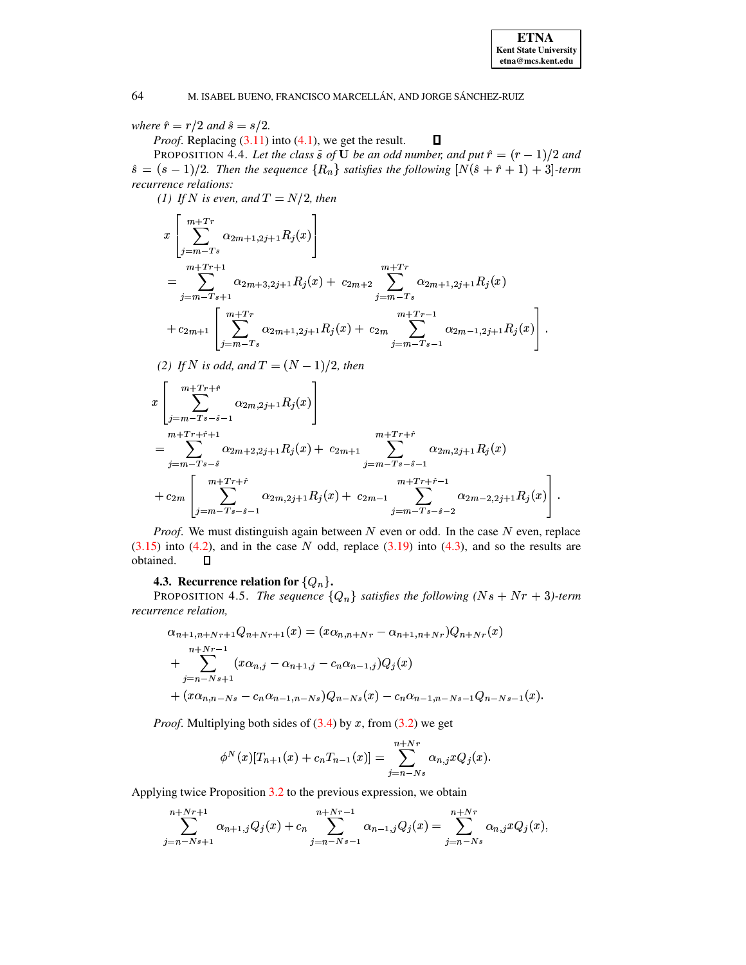# where  $\hat{r} = r/2$  and  $\hat{s} = s/2$ .

*Proof.* Replacing  $(3.11)$  into  $(4.1)$ , we get the result.

PROPOSITION 4.4. Let the class  $\tilde{s}$  of **U** be an odd number, and put  $\hat{r} = (r-1)/2$  and  $\hat{s} = (s-1)/2$ . Then the sequence  $\{R_n\}$  satisfies the following  $[N(\hat{s} + \hat{r} + 1) + 3]$ -term recurrence relations:

 $\Box$ 

(1) If N is even, and  $T = N/2$ , then

$$
x\left[\sum_{j=m-Ts}^{m+Tr} \alpha_{2m+1,2j+1} R_j(x)\right]
$$
  
= 
$$
\sum_{j=m-Ts+1}^{m+Tr+1} \alpha_{2m+3,2j+1} R_j(x) + c_{2m+2} \sum_{j=m-Ts}^{m+Tr} \alpha_{2m+1,2j+1} R_j(x)
$$
  
+ 
$$
c_{2m+1}\left[\sum_{j=m-Ts}^{m+Tr} \alpha_{2m+1,2j+1} R_j(x) + c_{2m} \sum_{j=m-Ts-1}^{m+Tr-1} \alpha_{2m-1,2j+1} R_j(x)\right].
$$

(2) If N is odd, and  $T = (N-1)/2$ , then

$$
x\left[\sum_{j=m-Ts-\hat{s}-1}^{m+Tr+\hat{r}} \alpha_{2m,2j+1} R_j(x)\right]
$$
  
= 
$$
\sum_{j=m-Ts-\hat{s}}^{m+Tr+\hat{r}+1} \alpha_{2m+2,2j+1} R_j(x) + c_{2m+1} \sum_{j=m-Ts-\hat{s}-1}^{m+Tr+\hat{r}} \alpha_{2m,2j+1} R_j(x)
$$
  
+ 
$$
c_{2m}\left[\sum_{j=m-Ts-\hat{s}-1}^{m+Tr+\hat{r}} \alpha_{2m,2j+1} R_j(x) + c_{2m-1} \sum_{j=m-Ts-\hat{s}-2}^{m+Tr+\hat{r}-1} \alpha_{2m-2,2j+1} R_j(x)\right]
$$

*Proof.* We must distinguish again between  $N$  even or odd. In the case  $N$  even, replace  $(3.15)$  into  $(4.2)$ , and in the case N odd, replace  $(3.19)$  into  $(4.3)$ , and so the results are obtained.  $\Box$ 

# **4.3. Recurrence relation for**  $\{Q_n\}$ .

<span id="page-9-0"></span>PROPOSITION 4.5. The sequence  ${Q_n}$  satisfies the following  $(Ns + Nr + 3)$ -term recurrence relation,

$$
\alpha_{n+1,n+Nr+1}Q_{n+Nr+1}(x) = (x\alpha_{n,n+Nr} - \alpha_{n+1,n+Nr})Q_{n+Nr}(x)
$$
  
+ 
$$
\sum_{j=n-Ns+1}^{n+Nr-1} (x\alpha_{n,j} - \alpha_{n+1,j} - c_n\alpha_{n-1,j})Q_j(x)
$$
  
+ 
$$
(x\alpha_{n,n-Ns} - c_n\alpha_{n-1,n-Ns})Q_{n-Ns}(x) - c_n\alpha_{n-1,n-Ns-1}Q_{n-Ns-1}(x)
$$

*Proof.* Multiplying both sides of  $(3.4)$  by x, from  $(3.2)$  we get

$$
\phi^N(x)[T_{n+1}(x) + c_n T_{n-1}(x)] = \sum_{j=n-Ns}^{n+Nr} \alpha_{n,j} xQ_j(x).
$$

Applying twice Proposition 3.2 to the previous expression, we obtain

$$
\sum_{j=n-Ns+1}^{n+Nr+1} \alpha_{n+1,j} Q_j(x) + c_n \sum_{j=n-Ns-1}^{n+Nr-1} \alpha_{n-1,j} Q_j(x) = \sum_{j=n-Ns}^{n+Nr} \alpha_{n,j} x Q_j(x),
$$